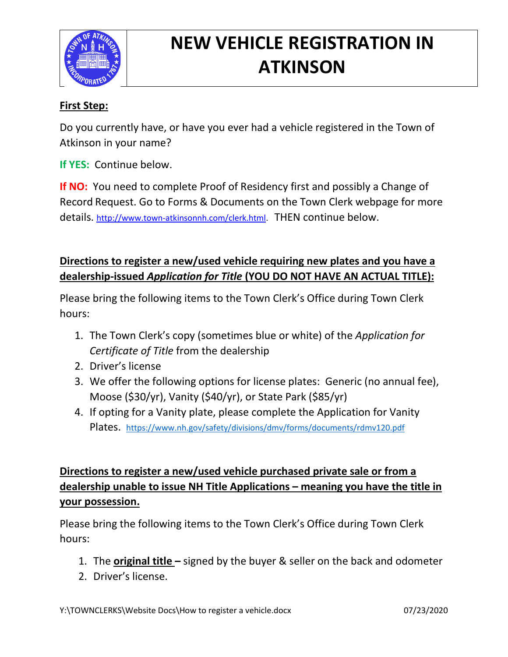

# **NEW VEHICLE REGISTRATION IN ATKINSON**

#### **First Step:**

Do you currently have, or have you ever had a vehicle registered in the Town of Atkinson in your name?

**If YES:** Continue below.

**If NO:** You need to complete Proof of Residency first and possibly a Change of Record Request. Go to Forms & Documents on the Town Clerk webpage for more details. [http://www.town-atkinsonnh.com/clerk.html.](http://www.town-atkinsonnh.com/clerk.html) THEN continue below.

### **Directions to register a new/used vehicle requiring new plates and you have a dealership-issued** *Application for Title* **(YOU DO NOT HAVE AN ACTUAL TITLE):**

Please bring the following items to the Town Clerk's Office during Town Clerk hours:

- 1. The Town Clerk's copy (sometimes blue or white) of the *Application for Certificate of Title* from the dealership
- 2. Driver's license
- 3. We offer the following options for license plates: Generic (no annual fee), Moose (\$30/yr), Vanity (\$40/yr), or State Park (\$85/yr)
- 4. If opting for a Vanity plate, please complete the Application for Vanity Plates. <https://www.nh.gov/safety/divisions/dmv/forms/documents/rdmv120.pdf>

## **Directions to register a new/used vehicle purchased private sale or from a dealership unable to issue NH Title Applications – meaning you have the title in your possession.**

Please bring the following items to the Town Clerk's Office during Town Clerk hours:

- 1. The **original title –** signed by the buyer & seller on the back and odometer
- 2. Driver's license.